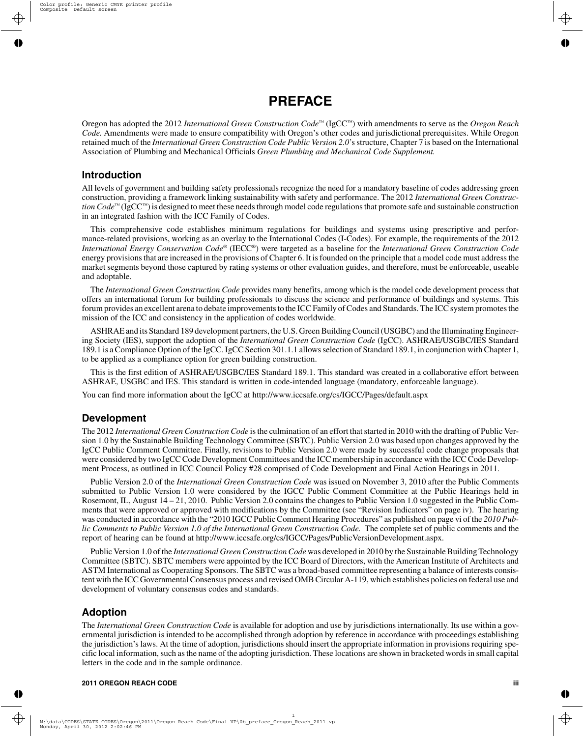# **PREFACE**

Oregon has adopted the 2012 *International Green Construction Code™* (IgCC™) with amendments to serve as the *Oregon Reach Code.* Amendments were made to ensure compatibility with Oregon's other codes and jurisdictional prerequisites. While Oregon retained much of the *International Green Construction Code Public Version 2.0*'s structure, Chapter 7 is based on the International Association of Plumbing and Mechanical Officials *Green Plumbing and Mechanical Code Supplement.*

#### **Introduction**

All levels of government and building safety professionals recognize the need for a mandatory baseline of codes addressing green construction, providing a framework linking sustainability with safety and performance. The 2012 *International Green Construction Code*™ (IgCC™) is designed to meet these needs through model code regulations that promote safe and sustainable construction in an integrated fashion with the ICC Family of Codes.

This comprehensive code establishes minimum regulations for buildings and systems using prescriptive and performance-related provisions, working as an overlay to the International Codes (I-Codes). For example, the requirements of the 2012 *International Energy Conservation Code*® (IECC®) were targeted as a baseline for the *International Green Construction Code* energy provisions that are increased in the provisions of Chapter 6. It is founded on the principle that a model code must address the market segments beyond those captured by rating systems or other evaluation guides, and therefore, must be enforceable, useable and adoptable.

The *International Green Construction Code* provides many benefits, among which is the model code development process that offers an international forum for building professionals to discuss the science and performance of buildings and systems. This forum provides an excellent arena to debate improvements to the ICC Family of Codes and Standards. The ICC system promotes the mission of the ICC and consistency in the application of codes worldwide.

ASHRAE and its Standard 189 development partners, the U.S. Green Building Council (USGBC) and the Illuminating Engineering Society (IES), support the adoption of the *International Green Construction Code* (IgCC). ASHRAE/USGBC/IES Standard 189.1 is a Compliance Option of the IgCC. IgCC Section 301.1.1 allows selection of Standard 189.1, in conjunction with Chapter 1, to be applied as a compliance option for green building construction.

This is the first edition of ASHRAE/USGBC/IES Standard 189.1. This standard was created in a collaborative effort between ASHRAE, USGBC and IES. This standard is written in code-intended language (mandatory, enforceable language).

You can find more information about the IgCC at http://www.iccsafe.org/cs/IGCC/Pages/default.aspx

### **Development**

The 2012 *International Green Construction Code* is the culmination of an effort that started in 2010 with the drafting of Public Version 1.0 by the Sustainable Building Technology Committee (SBTC). Public Version 2.0 was based upon changes approved by the IgCC Public Comment Committee. Finally, revisions to Public Version 2.0 were made by successful code change proposals that were considered by two IgCC Code Development Committees and the ICC membership in accordance with the ICC Code Development Process, as outlined in ICC Council Policy #28 comprised of Code Development and Final Action Hearings in 2011.

Public Version 2.0 of the *International Green Construction Code* was issued on November 3, 2010 after the Public Comments submitted to Public Version 1.0 were considered by the IGCC Public Comment Committee at the Public Hearings held in Rosemont, IL, August 14 – 21, 2010. Public Version 2.0 contains the changes to Public Version 1.0 suggested in the Public Comments that were approved or approved with modifications by the Committee (see "Revision Indicators" on page iv). The hearing was conducted in accordance with the "2010 IGCC Public Comment Hearing Procedures" as published on page vi of the *2010 Public Comments to Public Version 1.0 of the International Green Construction Code.* The complete set of public comments and the report of hearing can be found at http://www.iccsafe.org/cs/IGCC/Pages/PublicVersionDevelopment.aspx.

Public Version 1.0 of the *International Green Construction Code* was developed in 2010 by the Sustainable Building Technology Committee (SBTC). SBTC members were appointed by the ICC Board of Directors, with the American Institute of Architects and ASTM International as Cooperating Sponsors. The SBTC was a broad-based committee representing a balance of interests consistent with the ICC Governmental Consensus process and revised OMB Circular A-119, which establishes policies on federal use and development of voluntary consensus codes and standards.

### **Adoption**

The *International Green Construction Code* is available for adoption and use by jurisdictions internationally. Its use within a governmental jurisdiction is intended to be accomplished through adoption by reference in accordance with proceedings establishing the jurisdiction's laws. At the time of adoption, jurisdictions should insert the appropriate information in provisions requiring specific local information, such as the name of the adopting jurisdiction. These locations are shown in bracketed words in small capital letters in the code and in the sample ordinance.